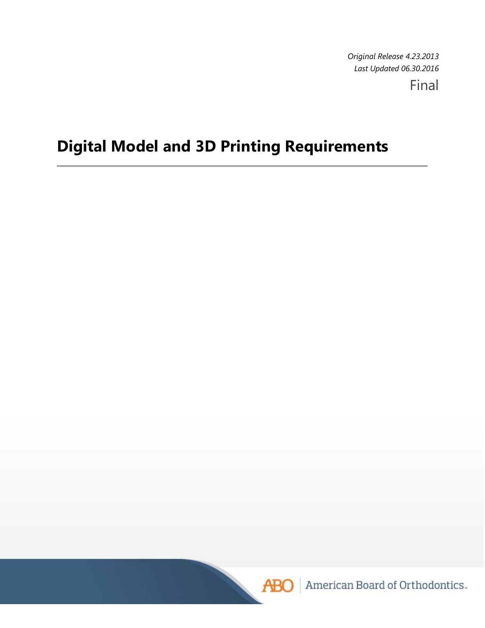*Original Release 4.23.2013 Last Updated 06.30.2016* 

Final

# **Digital Model and 3D Printing Requirements**



American Board of Orthodontics.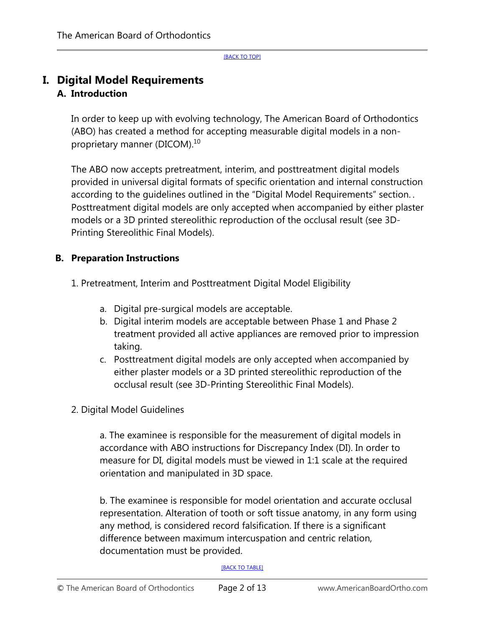## **I. Digital Model Requirements A. Introduction**

In order to keep up with evolving technology, The American Board of Orthodontics (ABO) has created a method for accepting measurable digital models in a nonproprietary manner (DICOM).10

The ABO now accepts pretreatment, interim, and posttreatment digital models provided in universal digital formats of specific orientation and internal construction according to the guidelines outlined in the "Digital Model Requirements" section. . Posttreatment digital models are only accepted when accompanied by either plaster models or a 3D printed stereolithic reproduction of the occlusal result (see 3D-Printing Stereolithic Final Models).

### **B. Preparation Instructions**

1. Pretreatment, Interim and Posttreatment Digital Model Eligibility

- a. Digital pre-surgical models are acceptable.
- b. Digital interim models are acceptable between Phase 1 and Phase 2 treatment provided all active appliances are removed prior to impression taking.
- c. Posttreatment digital models are only accepted when accompanied by either plaster models or a 3D printed stereolithic reproduction of the occlusal result (see 3D-Printing Stereolithic Final Models).
- 2. Digital Model Guidelines

a. The examinee is responsible for the measurement of digital models in accordance with ABO instructions for Discrepancy Index (DI). In order to measure for DI, digital models must be viewed in 1:1 scale at the required orientation and manipulated in 3D space.

b. The examinee is responsible for model orientation and accurate occlusal representation. Alteration of tooth or soft tissue anatomy, in any form using any method, is considered record falsification. If there is a significant difference between maximum intercuspation and centric relation, documentation must be provided.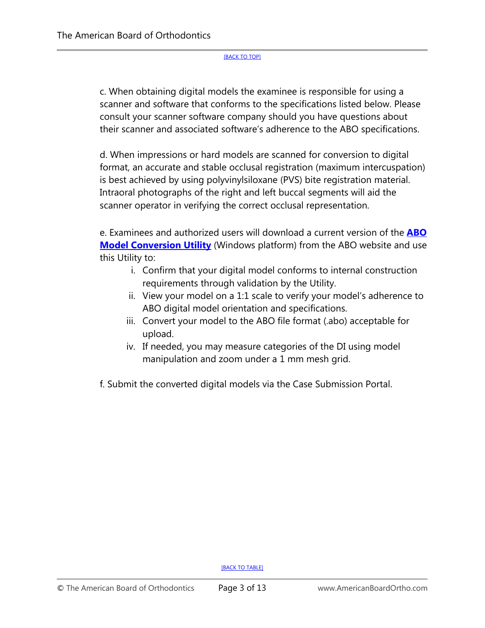c. When obtaining digital models the examinee is responsible for using a scanner and software that conforms to the specifications listed below. Please consult your scanner software company should you have questions about their scanner and associated software's adherence to the ABO specifications.

d. When impressions or hard models are scanned for conversion to digital format, an accurate and stable occlusal registration (maximum intercuspation) is best achieved by using polyvinylsiloxane (PVS) bite registration material. Intraoral photographs of the right and left buccal segments will aid the scanner operator in verifying the correct occlusal representation.

e. Examinees and authorized users will download a current version of the **ABO Model Conversion Utility** (Windows platform) from the ABO website and use this Utility to:

- i. Confirm that your digital model conforms to internal construction requirements through validation by the Utility.
- ii. View your model on a 1:1 scale to verify your model's adherence to ABO digital model orientation and specifications.
- iii. Convert your model to the ABO file format (.abo) acceptable for upload.
- iv. If needed, you may measure categories of the DI using model manipulation and zoom under a 1 mm mesh grid.

f. Submit the converted digital models via the Case Submission Portal.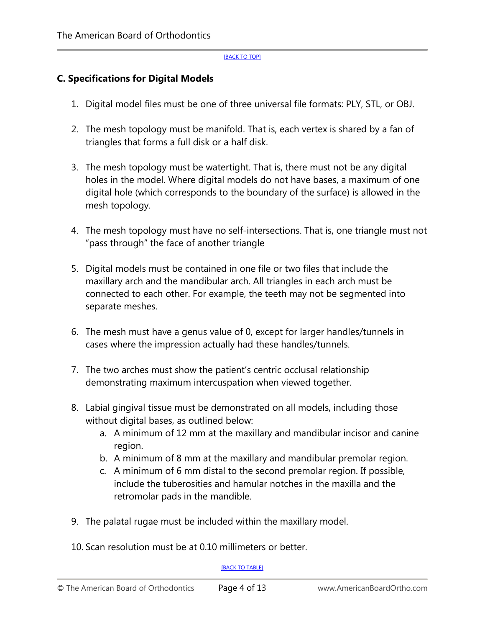### **C. Specifications for Digital Models**

- 1. Digital model files must be one of three universal file formats: PLY, STL, or OBJ.
- 2. The mesh topology must be manifold. That is, each vertex is shared by a fan of triangles that forms a full disk or a half disk.
- 3. The mesh topology must be watertight. That is, there must not be any digital holes in the model. Where digital models do not have bases, a maximum of one digital hole (which corresponds to the boundary of the surface) is allowed in the mesh topology.
- 4. The mesh topology must have no self-intersections. That is, one triangle must not "pass through" the face of another triangle
- 5. Digital models must be contained in one file or two files that include the maxillary arch and the mandibular arch. All triangles in each arch must be connected to each other. For example, the teeth may not be segmented into separate meshes.
- 6. The mesh must have a genus value of 0, except for larger handles/tunnels in cases where the impression actually had these handles/tunnels.
- 7. The two arches must show the patient's centric occlusal relationship demonstrating maximum intercuspation when viewed together.
- 8. Labial gingival tissue must be demonstrated on all models, including those without digital bases, as outlined below:
	- a. A minimum of 12 mm at the maxillary and mandibular incisor and canine region.
	- b. A minimum of 8 mm at the maxillary and mandibular premolar region.
	- c. A minimum of 6 mm distal to the second premolar region. If possible, include the tuberosities and hamular notches in the maxilla and the retromolar pads in the mandible.
- 9. The palatal rugae must be included within the maxillary model.
- 10. Scan resolution must be at 0.10 millimeters or better.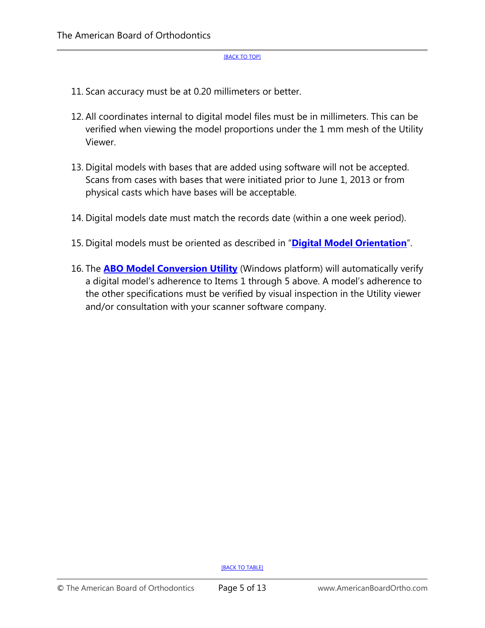- 11. Scan accuracy must be at 0.20 millimeters or better.
- 12. All coordinates internal to digital model files must be in millimeters. This can be verified when viewing the model proportions under the 1 mm mesh of the Utility Viewer.
- 13. Digital models with bases that are added using software will not be accepted. Scans from cases with bases that were initiated prior to June 1, 2013 or from physical casts which have bases will be acceptable.
- 14. Digital models date must match the records date (within a one week period).
- 15. Digital models must be oriented as described in "**Digital Model Orientation**".
- 16. The **ABO Model Conversion Utility** (Windows platform) will automatically verify a digital model's adherence to Items 1 through 5 above. A model's adherence to the other specifications must be verified by visual inspection in the Utility viewer and/or consultation with your scanner software company.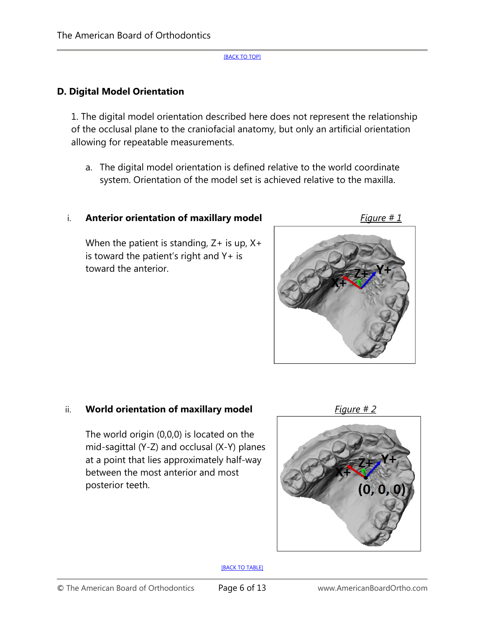### **D. Digital Model Orientation**

1. The digital model orientation described here does not represent the relationship of the occlusal plane to the craniofacial anatomy, but only an artificial orientation allowing for repeatable measurements.

a. The digital model orientation is defined relative to the world coordinate system. Orientation of the model set is achieved relative to the maxilla.

### i. **Anterior orientation of maxillary model** Figure # 1

When the patient is standing,  $Z+$  is up,  $X+$ is toward the patient's right and  $Y+$  is toward the anterior.



### ii. **World orientation of maxillary model** Figure # 2

The world origin (0,0,0) is located on the mid-sagittal (Y-Z) and occlusal (X-Y) planes at a point that lies approximately half-way between the most anterior and most posterior teeth.



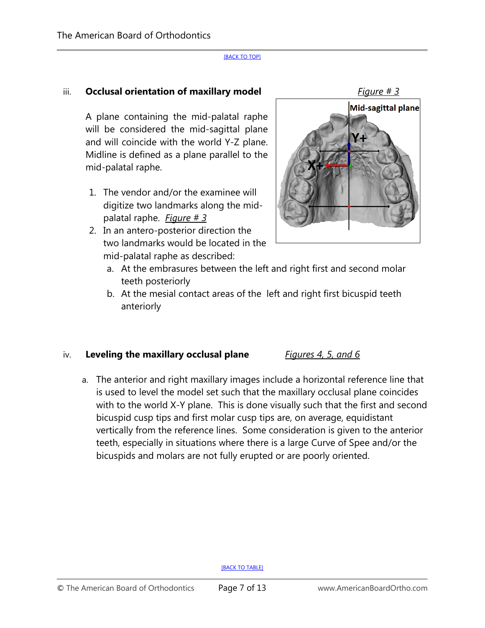### iii. **Occlusal orientation of maxillary model** Figure # 3

A plane containing the mid-palatal raphe will be considered the mid-sagittal plane and will coincide with the world Y-Z plane. Midline is defined as a plane parallel to the mid-palatal raphe.

- 1. The vendor and/or the examinee will digitize two landmarks along the midpalatal raphe. *Figure # 3*
- 2. In an antero-posterior direction the two landmarks would be located in the mid-palatal raphe as described:



- a. At the embrasures between the left and right first and second molar teeth posteriorly
- b. At the mesial contact areas of the left and right first bicuspid teeth anteriorly

#### iv. **Leveling the maxillary occlusal plane** *Figures 4, 5, and 6*

a. The anterior and right maxillary images include a horizontal reference line that is used to level the model set such that the maxillary occlusal plane coincides with to the world X-Y plane. This is done visually such that the first and second bicuspid cusp tips and first molar cusp tips are, on average, equidistant vertically from the reference lines. Some consideration is given to the anterior teeth, especially in situations where there is a large Curve of Spee and/or the bicuspids and molars are not fully erupted or are poorly oriented.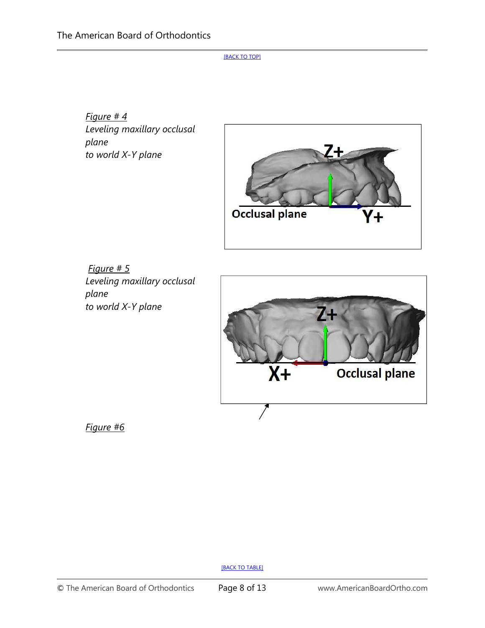*Figure # 4 Leveling maxillary occlusal plane to world X-Y plane* 



*Figure # 5 Leveling maxillary occlusal plane to world X-Y plane* 



*Figure #6*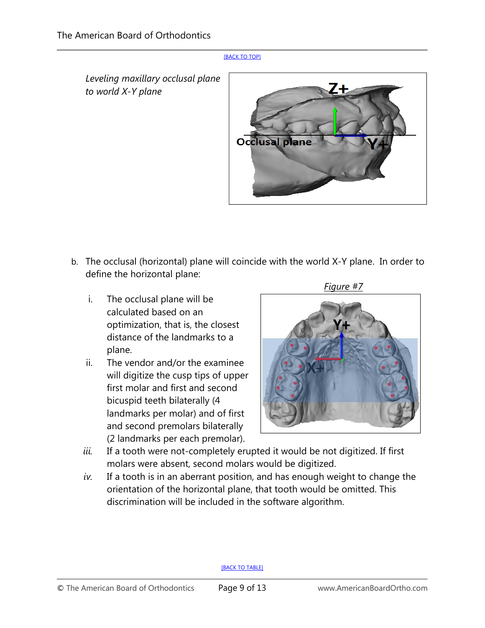*Leveling maxillary occlusal plane to world X-Y plane*



- b. The occlusal (horizontal) plane will coincide with the world X-Y plane. In order to define the horizontal plane:
	- i. The occlusal plane will be calculated based on an optimization, that is, the closest distance of the landmarks to a plane.
	- ii. The vendor and/or the examinee will digitize the cusp tips of upper first molar and first and second bicuspid teeth bilaterally (4 landmarks per molar) and of first and second premolars bilaterally (2 landmarks per each premolar).

 *Figure #7*



- *iii.* If a tooth were not-completely erupted it would be not digitized. If first molars were absent, second molars would be digitized.
- *iv.* If a tooth is in an aberrant position, and has enough weight to change the orientation of the horizontal plane, that tooth would be omitted. This discrimination will be included in the software algorithm.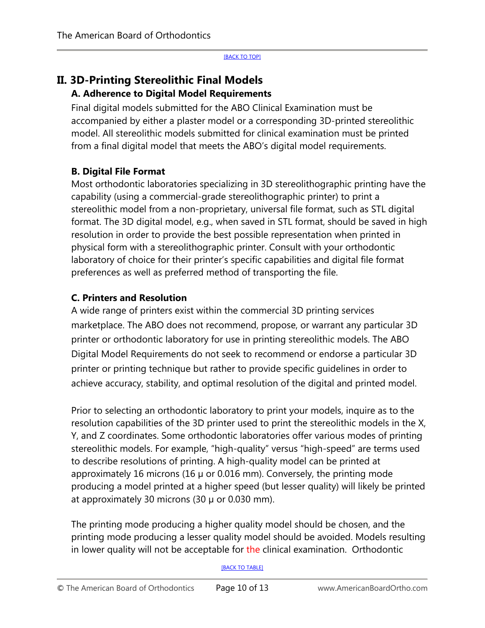# **II. 3D-Printing Stereolithic Final Models A. Adherence to Digital Model Requirements**

Final digital models submitted for the ABO Clinical Examination must be accompanied by either a plaster model or a corresponding 3D-printed stereolithic model. All stereolithic models submitted for clinical examination must be printed from a final digital model that meets the ABO's digital model requirements.

### **B. Digital File Format**

Most orthodontic laboratories specializing in 3D stereolithographic printing have the capability (using a commercial-grade stereolithographic printer) to print a stereolithic model from a non-proprietary, universal file format, such as STL digital format. The 3D digital model, e.g., when saved in STL format, should be saved in high resolution in order to provide the best possible representation when printed in physical form with a stereolithographic printer. Consult with your orthodontic laboratory of choice for their printer's specific capabilities and digital file format preferences as well as preferred method of transporting the file.

### **C. Printers and Resolution**

A wide range of printers exist within the commercial 3D printing services marketplace. The ABO does not recommend, propose, or warrant any particular 3D printer or orthodontic laboratory for use in printing stereolithic models. The ABO Digital Model Requirements do not seek to recommend or endorse a particular 3D printer or printing technique but rather to provide specific guidelines in order to achieve accuracy, stability, and optimal resolution of the digital and printed model.

Prior to selecting an orthodontic laboratory to print your models, inquire as to the resolution capabilities of the 3D printer used to print the stereolithic models in the X, Y, and Z coordinates. Some orthodontic laboratories offer various modes of printing stereolithic models. For example, "high-quality" versus "high-speed" are terms used to describe resolutions of printing. A high-quality model can be printed at approximately 16 microns (16 µ or 0.016 mm). Conversely, the printing mode producing a model printed at a higher speed (but lesser quality) will likely be printed at approximately 30 microns  $(30 \mu \text{ or } 0.030 \text{ mm})$ .

The printing mode producing a higher quality model should be chosen, and the printing mode producing a lesser quality model should be avoided. Models resulting in lower quality will not be acceptable for the clinical examination. Orthodontic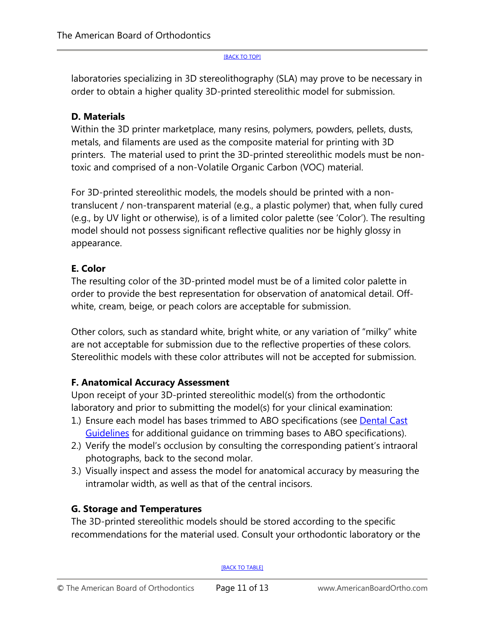laboratories specializing in 3D stereolithography (SLA) may prove to be necessary in order to obtain a higher quality 3D-printed stereolithic model for submission.

### **D. Materials**

Within the 3D printer marketplace, many resins, polymers, powders, pellets, dusts, metals, and filaments are used as the composite material for printing with 3D printers. The material used to print the 3D-printed stereolithic models must be nontoxic and comprised of a non-Volatile Organic Carbon (VOC) material.

For 3D-printed stereolithic models, the models should be printed with a nontranslucent / non-transparent material (e.g., a plastic polymer) that, when fully cured (e.g., by UV light or otherwise), is of a limited color palette (see 'Color'). The resulting model should not possess significant reflective qualities nor be highly glossy in appearance.

### **E. Color**

The resulting color of the 3D-printed model must be of a limited color palette in order to provide the best representation for observation of anatomical detail. Offwhite, cream, beige, or peach colors are acceptable for submission.

Other colors, such as standard white, bright white, or any variation of "milky" white are not acceptable for submission due to the reflective properties of these colors. Stereolithic models with these color attributes will not be accepted for submission.

### **F. Anatomical Accuracy Assessment**

Upon receipt of your 3D-printed stereolithic model(s) from the orthodontic laboratory and prior to submitting the model(s) for your clinical examination:

- 1.) Ensure each model has bases trimmed to ABO specifications (see Dental Cast Guidelines for additional guidance on trimming bases to ABO specifications).
- 2.) Verify the model's occlusion by consulting the corresponding patient's intraoral photographs, back to the second molar.
- 3.) Visually inspect and assess the model for anatomical accuracy by measuring the intramolar width, as well as that of the central incisors.

### **G. Storage and Temperatures**

The 3D-printed stereolithic models should be stored according to the specific recommendations for the material used. Consult your orthodontic laboratory or the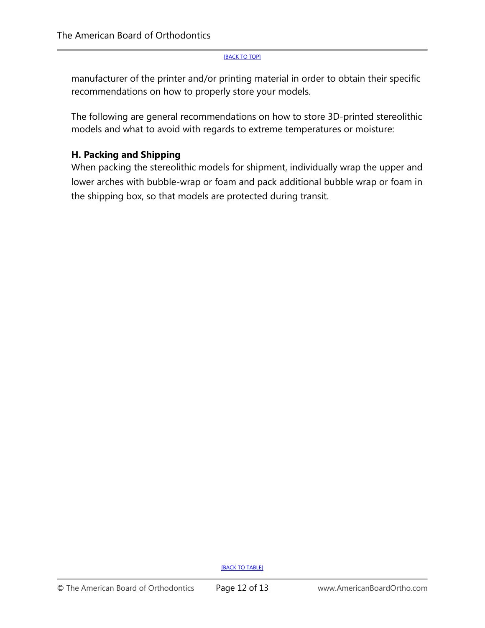manufacturer of the printer and/or printing material in order to obtain their specific recommendations on how to properly store your models.

The following are general recommendations on how to store 3D-printed stereolithic models and what to avoid with regards to extreme temperatures or moisture:

### **H. Packing and Shipping**

When packing the stereolithic models for shipment, individually wrap the upper and lower arches with bubble-wrap or foam and pack additional bubble wrap or foam in the shipping box, so that models are protected during transit.